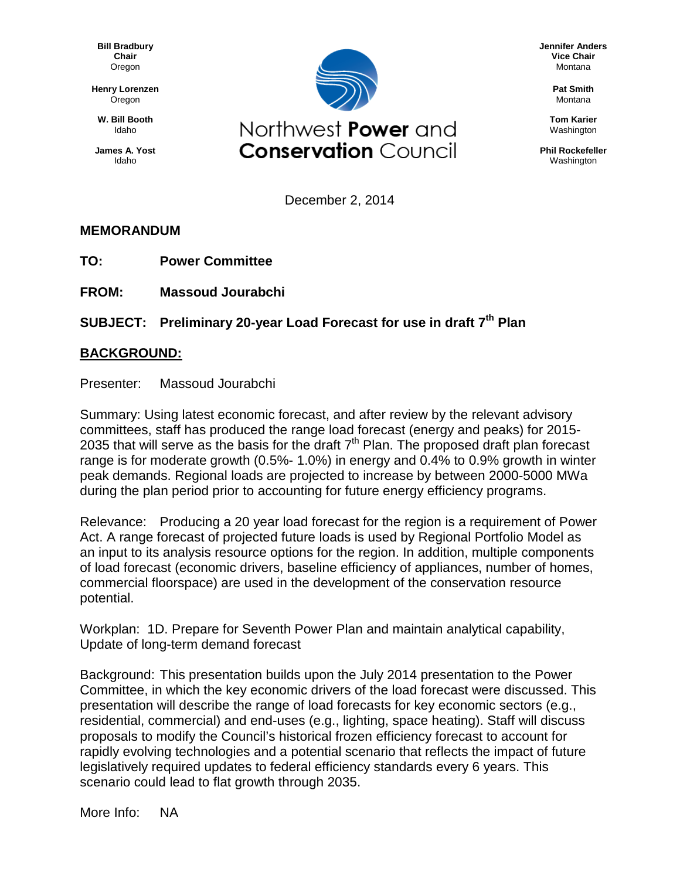**Bill Bradbury Chair** Oregon

**Henry Lorenzen** Oregon

**W. Bill Booth** Idaho

**James A. Yost** Idaho



**Jennifer Anders Vice Chair** Montana

> **Pat Smith** Montana

**Tom Karier** Washington

**Phil Rockefeller** Washington

December 2, 2014

## **MEMORANDUM**

- **TO: Power Committee**
- **FROM: Massoud Jourabchi**

## **SUBJECT: Preliminary 20-year Load Forecast for use in draft 7th Plan**

## **BACKGROUND:**

Presenter: Massoud Jourabchi

Summary: Using latest economic forecast, and after review by the relevant advisory committees, staff has produced the range load forecast (energy and peaks) for 2015- 2035 that will serve as the basis for the draft  $7<sup>th</sup>$  Plan. The proposed draft plan forecast range is for moderate growth (0.5%- 1.0%) in energy and 0.4% to 0.9% growth in winter peak demands. Regional loads are projected to increase by between 2000-5000 MWa during the plan period prior to accounting for future energy efficiency programs.

Relevance: Producing a 20 year load forecast for the region is a requirement of Power Act. A range forecast of projected future loads is used by Regional Portfolio Model as an input to its analysis resource options for the region. In addition, multiple components of load forecast (economic drivers, baseline efficiency of appliances, number of homes, commercial floorspace) are used in the development of the conservation resource potential.

Workplan: 1D. Prepare for Seventh Power Plan and maintain analytical capability, Update of long-term demand forecast

Background: This presentation builds upon the July 2014 presentation to the Power Committee, in which the key economic drivers of the load forecast were discussed. This presentation will describe the range of load forecasts for key economic sectors (e.g., residential, commercial) and end-uses (e.g., lighting, space heating). Staff will discuss proposals to modify the Council's historical frozen efficiency forecast to account for rapidly evolving technologies and a potential scenario that reflects the impact of future legislatively required updates to federal efficiency standards every 6 years. This scenario could lead to flat growth through 2035.

More Info: NA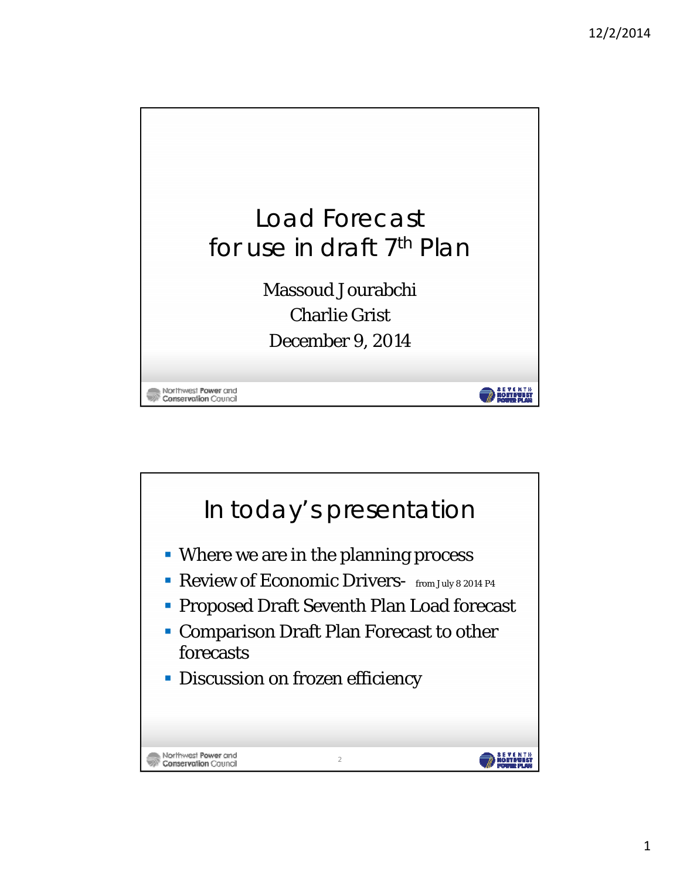

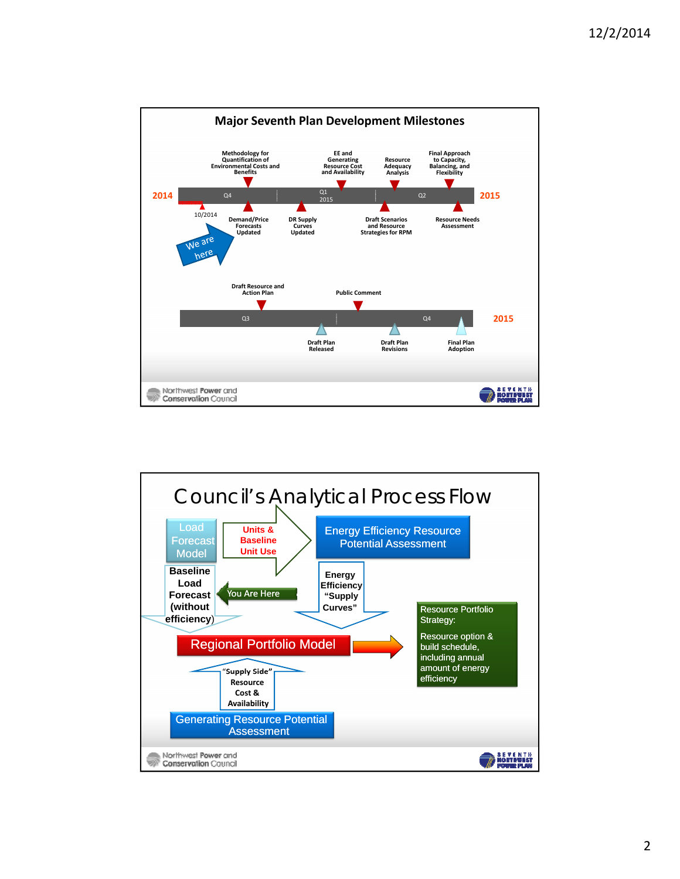

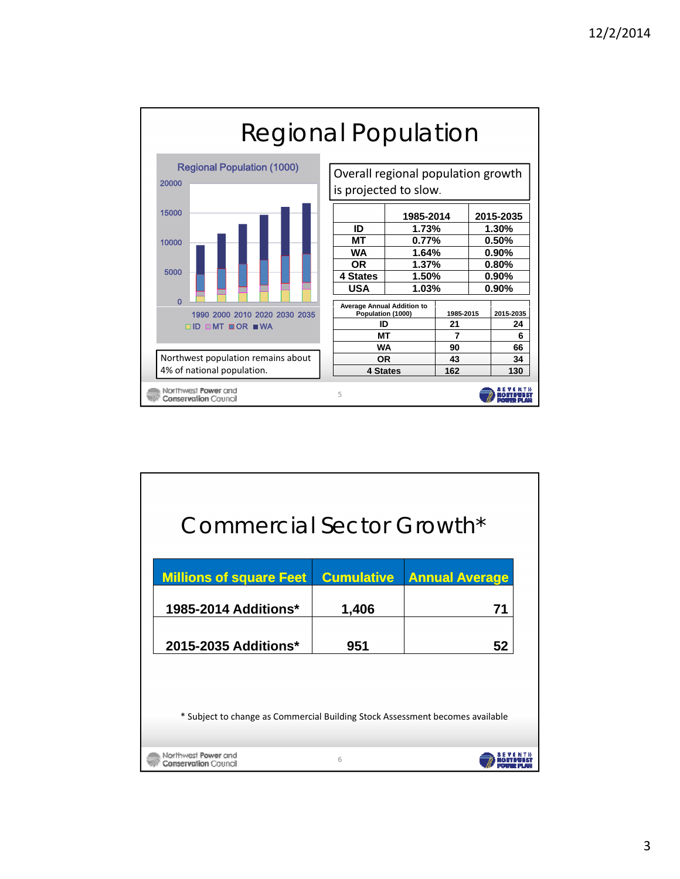

| Commercial Sector Growth*                                                     |                   |                       |  |  |
|-------------------------------------------------------------------------------|-------------------|-----------------------|--|--|
| <b>Millions of square Feet</b>                                                | <b>Cumulative</b> | <b>Annual Average</b> |  |  |
| <b>1985-2014 Additions*</b>                                                   | 1,406             | 71                    |  |  |
| 2015-2035 Additions*                                                          | 951               | 52                    |  |  |
| * Subject to change as Commercial Building Stock Assessment becomes available |                   |                       |  |  |
|                                                                               |                   |                       |  |  |
| Northwest <b>Power</b> and<br><b>Conservation</b> Council                     | 6                 |                       |  |  |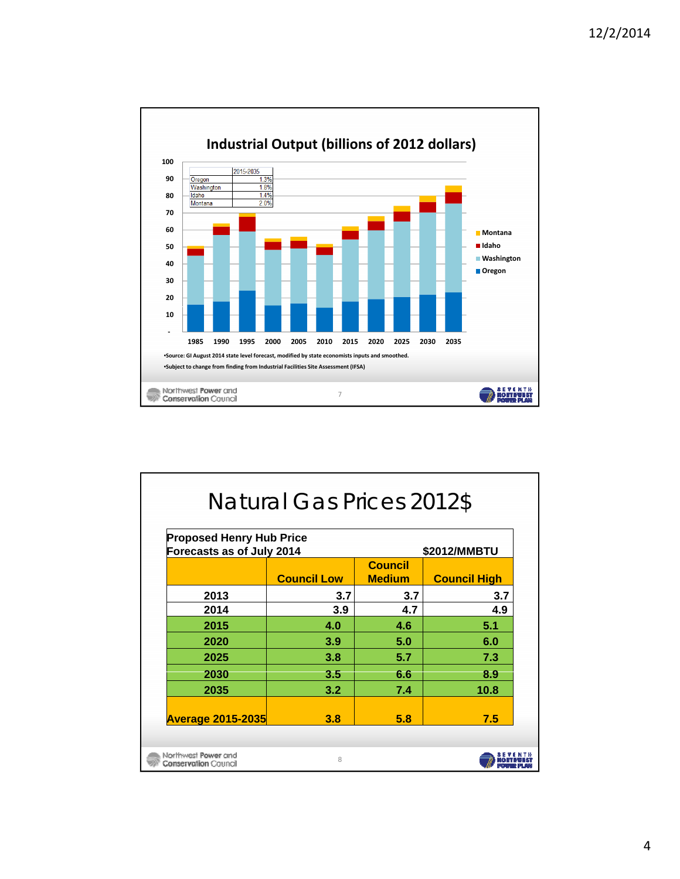

| <b>Natural Gas Prices 2012\$</b>                                             |                    |                                 |                     |  |  |
|------------------------------------------------------------------------------|--------------------|---------------------------------|---------------------|--|--|
| <b>Proposed Henry Hub Price</b><br>Forecasts as of July 2014<br>\$2012/MMBTU |                    |                                 |                     |  |  |
|                                                                              | <b>Council Low</b> | <b>Council</b><br><b>Medium</b> | <b>Council High</b> |  |  |
| 2013                                                                         | 3.7                | 3.7                             | 3.7                 |  |  |
| 2014                                                                         | 3.9                | 4.7                             | 4.9                 |  |  |
| 2015                                                                         | 4.0                | 4.6                             | 5.1                 |  |  |
| 2020                                                                         | 3.9                | 5.0                             | 6.0                 |  |  |
| 2025                                                                         | 3.8                | 5.7                             | 7.3                 |  |  |
| 2030                                                                         | 3.5                | 6.6                             | 8.9                 |  |  |
| 2035                                                                         | 3.2                | 7.4                             | 10.8                |  |  |
| <b>Average 2015-2035</b>                                                     | 3.8                | 5.8                             | 7.5                 |  |  |
| Northwest Power and<br><b>Conservation Council</b>                           | 8                  |                                 |                     |  |  |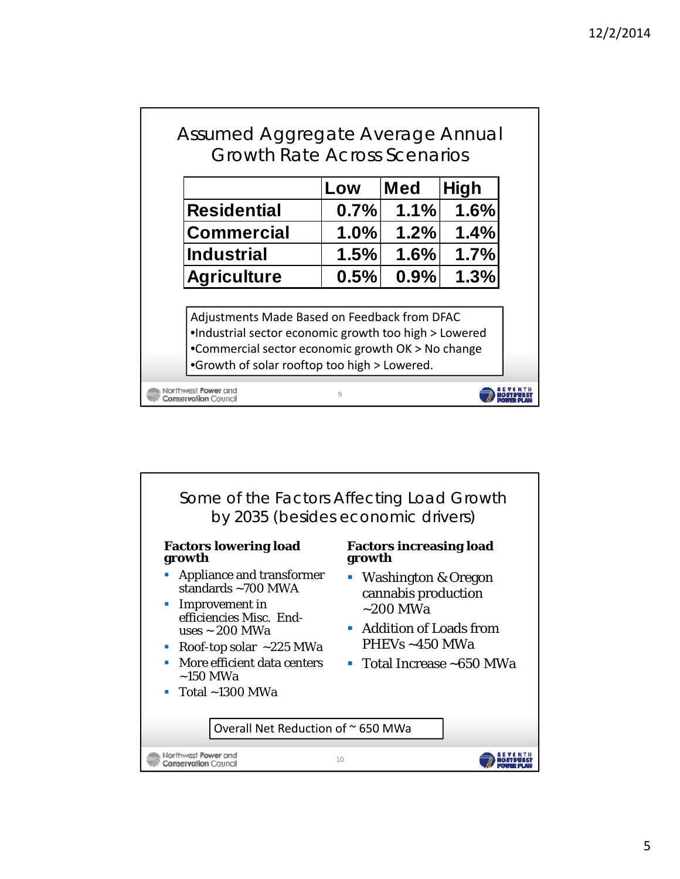|                                                                                                                                                                                                            | Low  | <b>Med</b> | <b>High</b> |
|------------------------------------------------------------------------------------------------------------------------------------------------------------------------------------------------------------|------|------------|-------------|
| <b>Residential</b>                                                                                                                                                                                         | 0.7% | 1.1%       | 1.6%        |
| <b>Commercial</b>                                                                                                                                                                                          | 1.0% | 1.2%       | 1.4%        |
| <b>Industrial</b>                                                                                                                                                                                          | 1.5% | 1.6%       | 1.7%        |
| <b>Agriculture</b>                                                                                                                                                                                         | 0.5% | 0.9%       | 1.3%        |
| Adjustments Made Based on Feedback from DFAC<br>.Industrial sector economic growth too high > Lowered<br>•Commercial sector economic growth OK > No change<br>•Growth of solar rooftop too high > Lowered. |      |            |             |

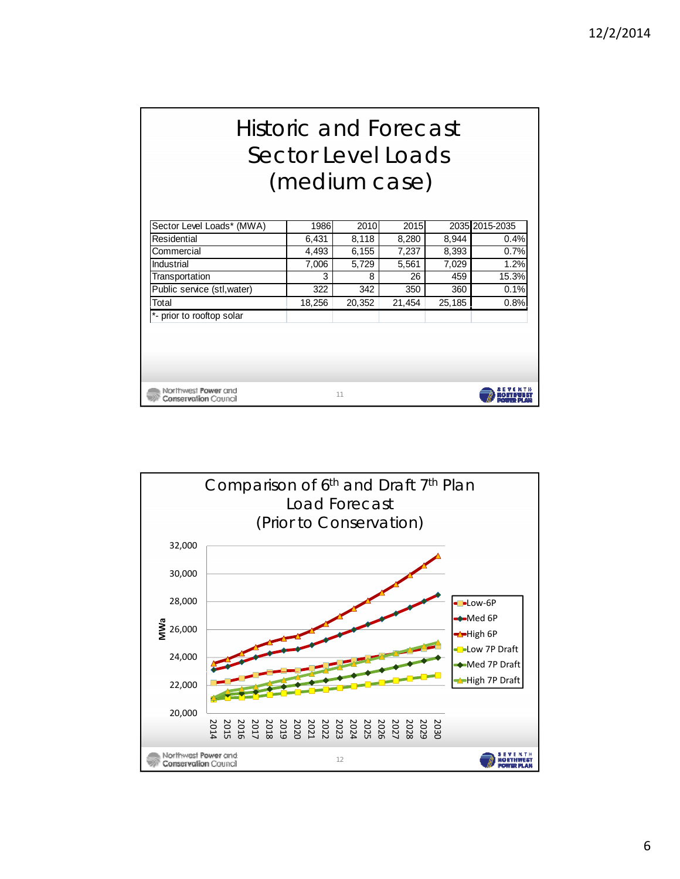## Historic and Forecast Sector Level Loads (medium case)

| Sector Level Loads* (MWA)                          | 1986   | 2010   | <b>2015</b> |        | 2035 2015-2035     |
|----------------------------------------------------|--------|--------|-------------|--------|--------------------|
| Residential                                        | 6,431  | 8,118  | 8,280       | 8,944  | 0.4%               |
| Commercial                                         | 4,493  | 6,155  | 7,237       | 8,393  | 0.7%               |
| Industrial                                         | 7,006  | 5,729  | 5,561       | 7,029  | 1.2%               |
| Transportation                                     | 3      | 8      | 26          | 459    | 15.3%              |
| Public service (stl, water)                        | 322    | 342    | 350         | 360    | 0.1%               |
| Total                                              | 18,256 | 20,352 | 21.454      | 25,185 | 0.8%               |
| *- prior to rooftop solar                          |        |        |             |        |                    |
|                                                    |        |        |             |        |                    |
|                                                    |        |        |             |        |                    |
|                                                    |        |        |             |        |                    |
|                                                    |        |        |             |        |                    |
| Northwest Power and<br><b>Conservation Council</b> |        | 11     |             |        | <b>TANKS DI AN</b> |

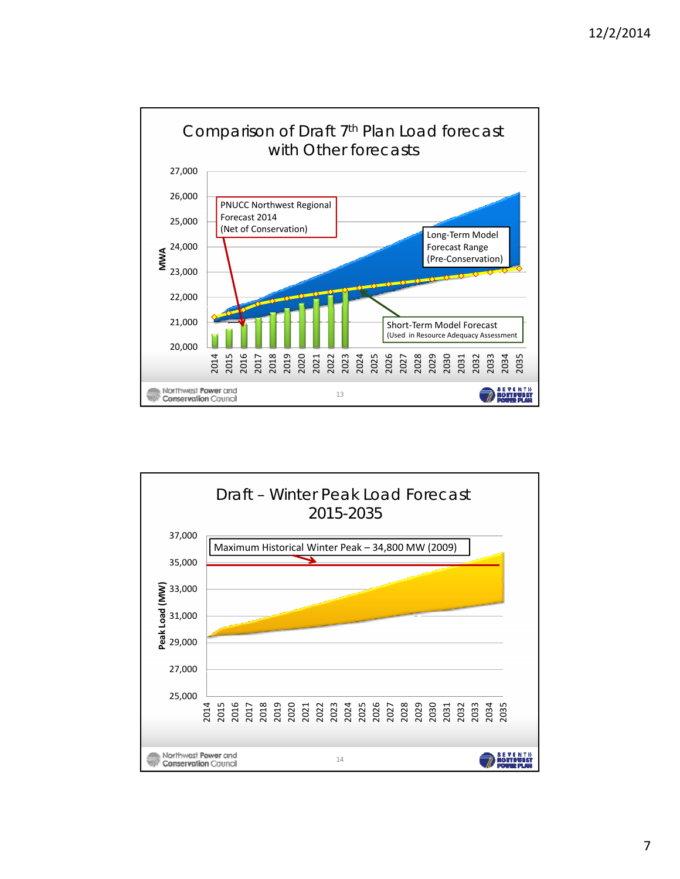

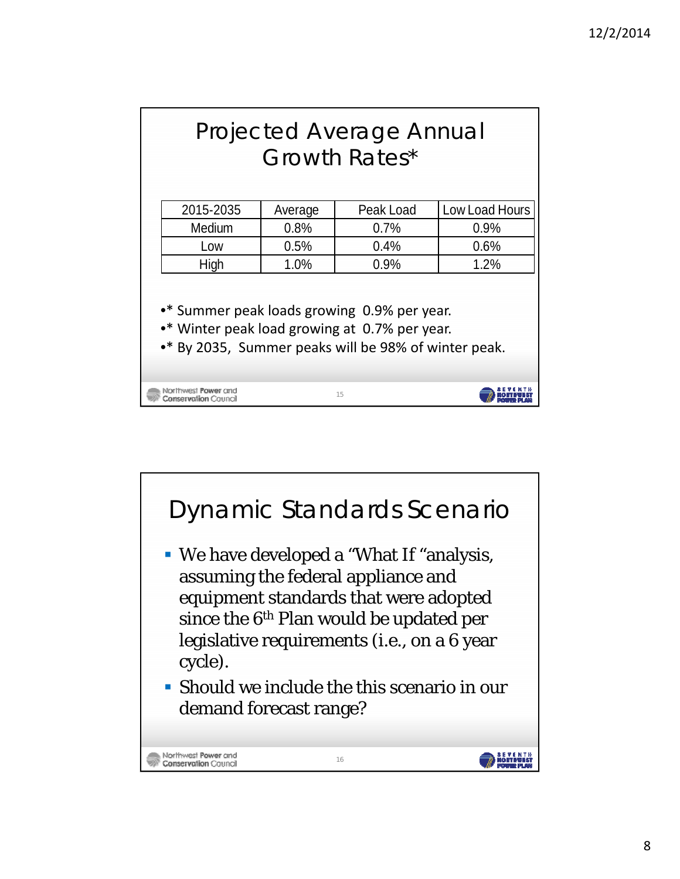|                                                                                                       | <b>Projected Average Annual</b><br>Growth Rates*          |         |           |                |  |  |
|-------------------------------------------------------------------------------------------------------|-----------------------------------------------------------|---------|-----------|----------------|--|--|
|                                                                                                       |                                                           |         |           |                |  |  |
|                                                                                                       | 2015-2035                                                 | Average | Peak Load | Low Load Hours |  |  |
|                                                                                                       | Medium                                                    | 0.8%    | 0.7%      | 0.9%           |  |  |
|                                                                                                       | Low                                                       | 0.5%    | 0.4%      | 0.6%           |  |  |
|                                                                                                       | High                                                      | 1.0%    | 0.9%      | 1.2%           |  |  |
|                                                                                                       | •* Summer peak loads growing 0.9% per year.               |         |           |                |  |  |
| •* Winter peak load growing at 0.7% per year.<br>•* By 2035, Summer peaks will be 98% of winter peak. |                                                           |         |           |                |  |  |
|                                                                                                       | Northwest <b>Power</b> and<br><b>Conservation</b> Council |         | 15        |                |  |  |

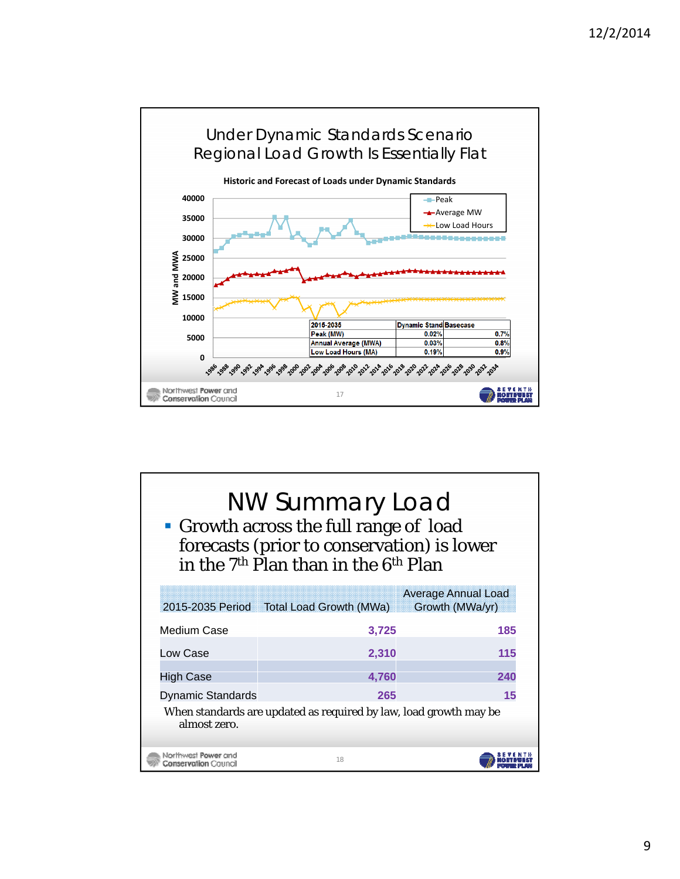

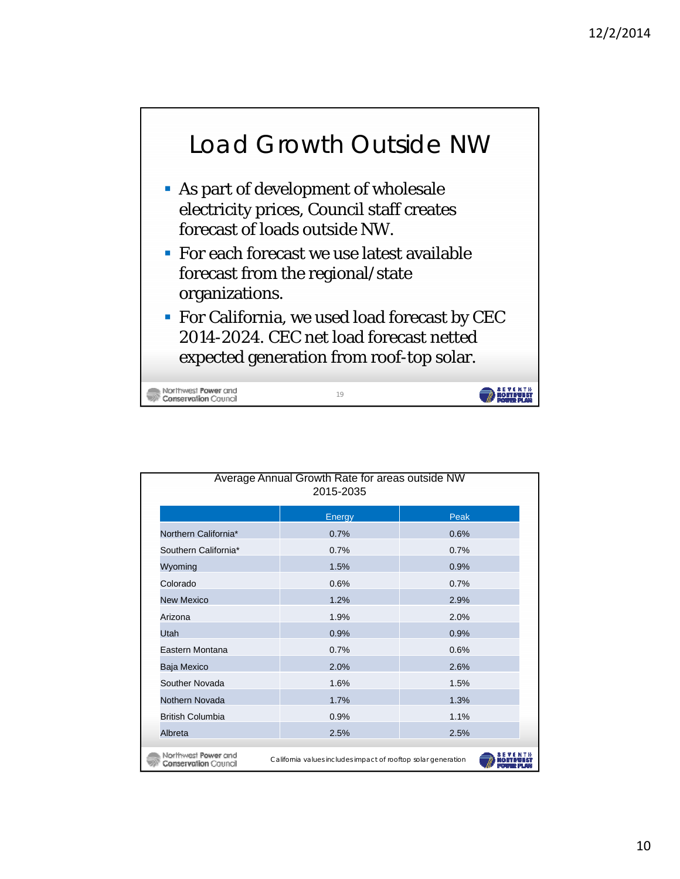

- As part of development of wholesale electricity prices, Council staff creates forecast of loads outside NW.
- For each forecast we use latest available forecast from the regional/state organizations.
- **For California, we used load forecast by CEC** 2014-2024. CEC net load forecast netted expected generation from roof-top solar.

19

**BUYERTH** 

Northwest Power and **Conservation Council** 

| Average Annual Growth Rate for areas outside NW<br>2015-2035                                                        |        |      |  |  |  |  |
|---------------------------------------------------------------------------------------------------------------------|--------|------|--|--|--|--|
|                                                                                                                     | Energy | Peak |  |  |  |  |
| Northern California*                                                                                                | 0.7%   | 0.6% |  |  |  |  |
| Southern California*                                                                                                | 0.7%   | 0.7% |  |  |  |  |
| Wyoming                                                                                                             | 1.5%   | 0.9% |  |  |  |  |
| Colorado                                                                                                            | 0.6%   | 0.7% |  |  |  |  |
| <b>New Mexico</b>                                                                                                   | 1.2%   | 2.9% |  |  |  |  |
| Arizona                                                                                                             | 1.9%   | 2.0% |  |  |  |  |
| Utah                                                                                                                | 0.9%   | 0.9% |  |  |  |  |
| Eastern Montana                                                                                                     | 0.7%   | 0.6% |  |  |  |  |
| Baja Mexico                                                                                                         | 2.0%   | 2.6% |  |  |  |  |
| Souther Novada                                                                                                      | 1.6%   | 1.5% |  |  |  |  |
| Nothern Novada                                                                                                      | 1.7%   | 1.3% |  |  |  |  |
| <b>British Columbia</b>                                                                                             | 0.9%   | 1.1% |  |  |  |  |
| Albreta                                                                                                             | 2.5%   | 2.5% |  |  |  |  |
| Northwest Power and<br>California values includes impact of rooftop solar generation<br><b>Conservation</b> Council |        |      |  |  |  |  |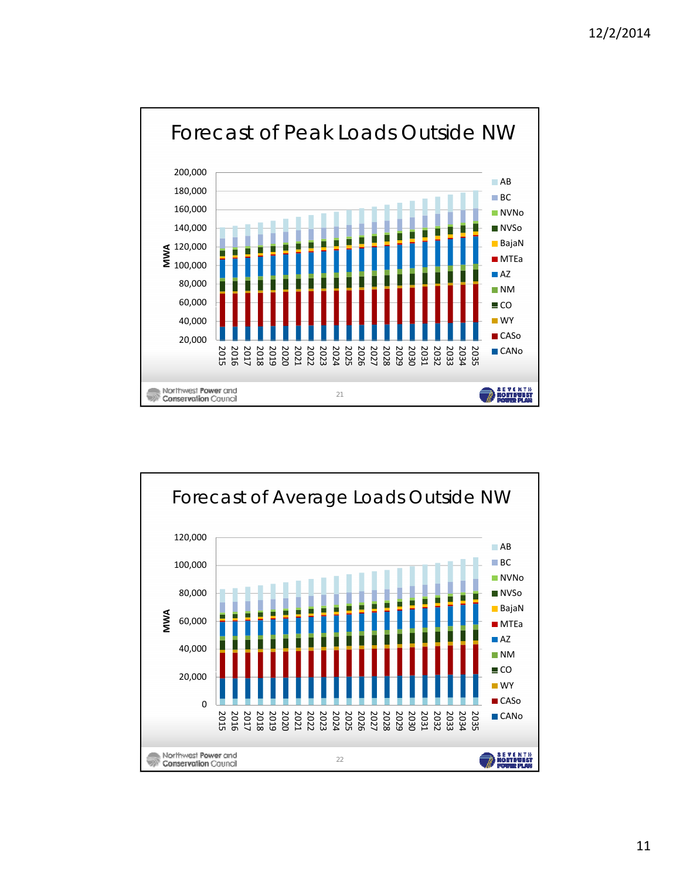

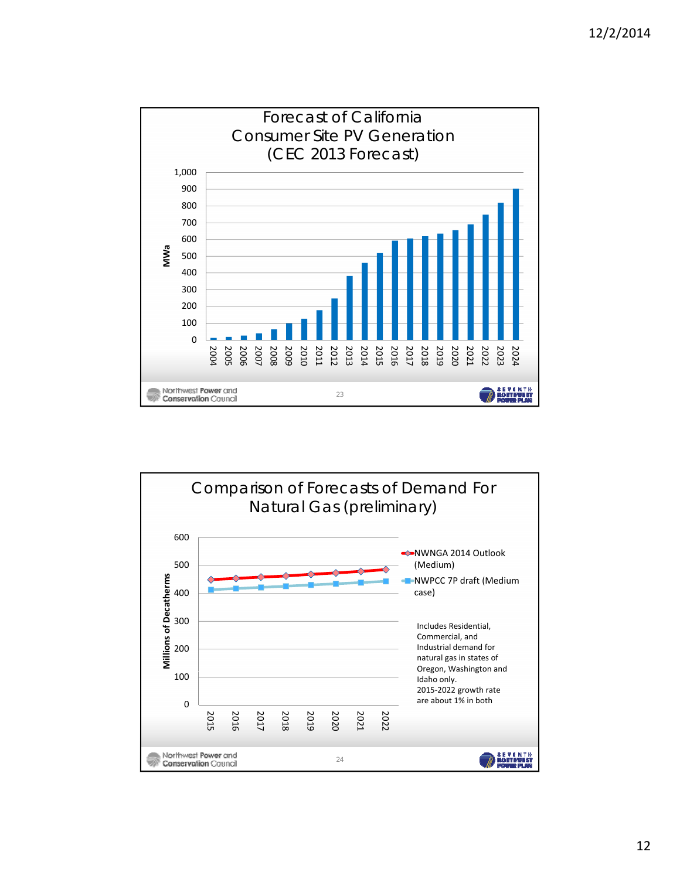

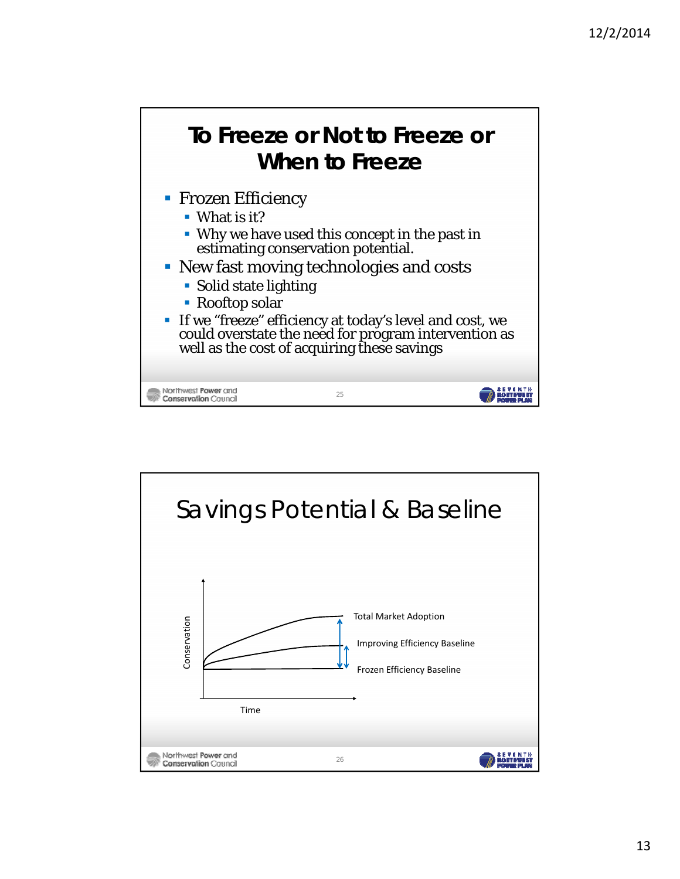

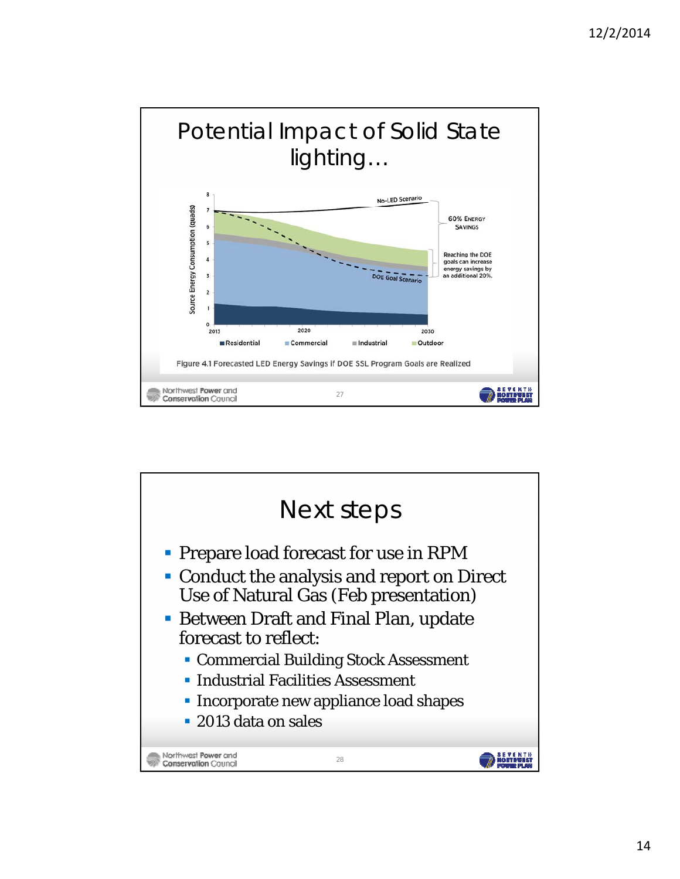

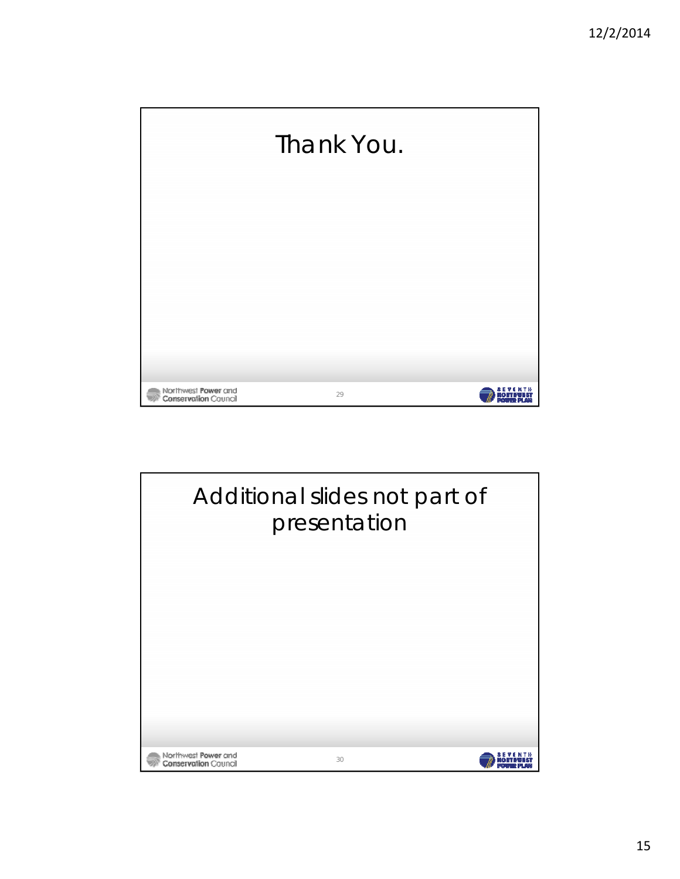

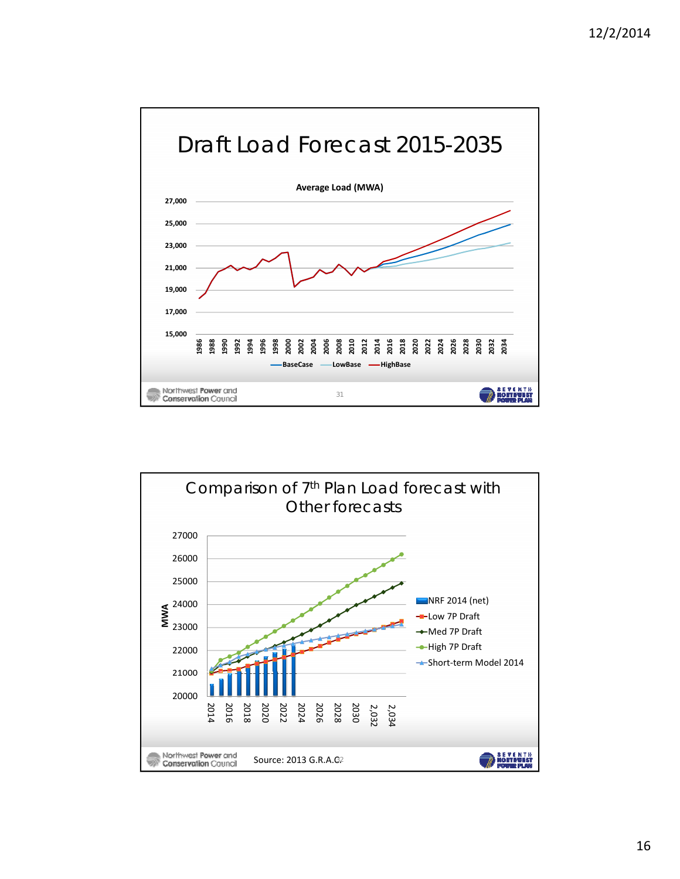